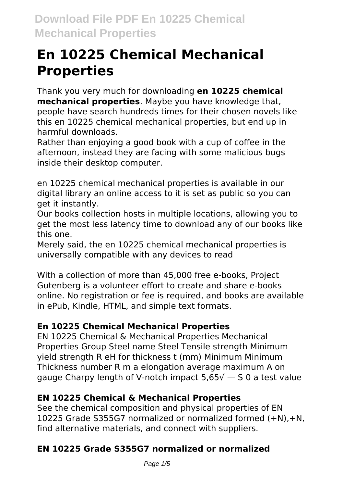# **En 10225 Chemical Mechanical Properties**

Thank you very much for downloading **en 10225 chemical mechanical properties**. Maybe you have knowledge that, people have search hundreds times for their chosen novels like this en 10225 chemical mechanical properties, but end up in harmful downloads.

Rather than enjoying a good book with a cup of coffee in the afternoon, instead they are facing with some malicious bugs inside their desktop computer.

en 10225 chemical mechanical properties is available in our digital library an online access to it is set as public so you can get it instantly.

Our books collection hosts in multiple locations, allowing you to get the most less latency time to download any of our books like this one.

Merely said, the en 10225 chemical mechanical properties is universally compatible with any devices to read

With a collection of more than 45,000 free e-books, Project Gutenberg is a volunteer effort to create and share e-books online. No registration or fee is required, and books are available in ePub, Kindle, HTML, and simple text formats.

# **En 10225 Chemical Mechanical Properties**

EN 10225 Chemical & Mechanical Properties Mechanical Properties Group Steel name Steel Tensile strength Minimum yield strength R eH for thickness t (mm) Minimum Minimum Thickness number R m a elongation average maximum A on gauge Charpy length of V-notch impact  $5.65\sqrt{ }-5.0$  a test value

# **EN 10225 Chemical & Mechanical Properties**

See the chemical composition and physical properties of EN 10225 Grade S355G7 normalized or normalized formed (+N),+N, find alternative materials, and connect with suppliers.

# **EN 10225 Grade S355G7 normalized or normalized**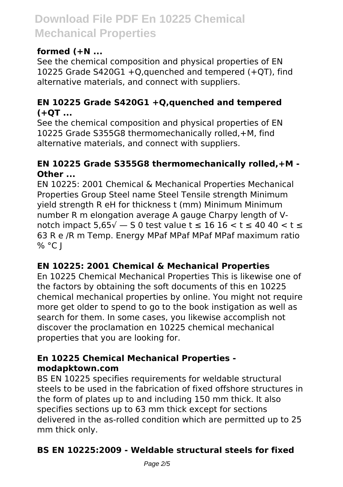### **formed (+N ...**

See the chemical composition and physical properties of EN 10225 Grade S420G1 +Q,quenched and tempered (+QT), find alternative materials, and connect with suppliers.

#### **EN 10225 Grade S420G1 +Q,quenched and tempered (+QT ...**

See the chemical composition and physical properties of EN 10225 Grade S355G8 thermomechanically rolled,+M, find alternative materials, and connect with suppliers.

#### **EN 10225 Grade S355G8 thermomechanically rolled,+M - Other ...**

EN 10225: 2001 Chemical & Mechanical Properties Mechanical Properties Group Steel name Steel Tensile strength Minimum yield strength R eH for thickness t (mm) Minimum Minimum number R m elongation average A gauge Charpy length of Vnotch impact  $5.65\sqrt{ } - 50$  test value t ≤ 16 16 < t ≤ 40 40 < t ≤ 63 R e /R m Temp. Energy MPaf MPaf MPaf MPaf maximum ratio  $%$  °C I

### **EN 10225: 2001 Chemical & Mechanical Properties**

En 10225 Chemical Mechanical Properties This is likewise one of the factors by obtaining the soft documents of this en 10225 chemical mechanical properties by online. You might not require more get older to spend to go to the book instigation as well as search for them. In some cases, you likewise accomplish not discover the proclamation en 10225 chemical mechanical properties that you are looking for.

#### **En 10225 Chemical Mechanical Properties modapktown.com**

BS EN 10225 specifies requirements for weldable structural steels to be used in the fabrication of fixed offshore structures in the form of plates up to and including 150 mm thick. It also specifies sections up to 63 mm thick except for sections delivered in the as-rolled condition which are permitted up to 25 mm thick only.

# **BS EN 10225:2009 - Weldable structural steels for fixed**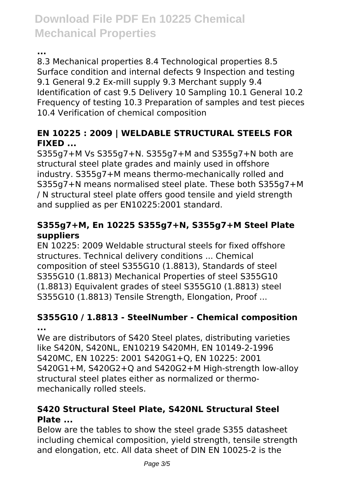**...**

8.3 Mechanical properties 8.4 Technological properties 8.5 Surface condition and internal defects 9 Inspection and testing 9.1 General 9.2 Ex-mill supply 9.3 Merchant supply 9.4 Identification of cast 9.5 Delivery 10 Sampling 10.1 General 10.2 Frequency of testing 10.3 Preparation of samples and test pieces 10.4 Verification of chemical composition

# **EN 10225 : 2009 | WELDABLE STRUCTURAL STEELS FOR FIXED ...**

S355g7+M Vs S355g7+N. S355g7+M and S355g7+N both are structural steel plate grades and mainly used in offshore industry. S355g7+M means thermo-mechanically rolled and S355g7+N means normalised steel plate. These both S355g7+M / N structural steel plate offers good tensile and yield strength and supplied as per EN10225:2001 standard.

### **S355g7+M, En 10225 S355g7+N, S355g7+M Steel Plate suppliers**

EN 10225: 2009 Weldable structural steels for fixed offshore structures. Technical delivery conditions ... Chemical composition of steel S355G10 (1.8813), Standards of steel S355G10 (1.8813) Mechanical Properties of steel S355G10 (1.8813) Equivalent grades of steel S355G10 (1.8813) steel S355G10 (1.8813) Tensile Strength, Elongation, Proof ...

#### **S355G10 / 1.8813 - SteelNumber - Chemical composition ...**

We are distributors of S420 Steel plates, distributing varieties like S420N, S420NL, EN10219 S420MH, EN 10149-2-1996 S420MC, EN 10225: 2001 S420G1+Q, EN 10225: 2001 S420G1+M, S420G2+Q and S420G2+M High-strength low-alloy structural steel plates either as normalized or thermomechanically rolled steels.

# **S420 Structural Steel Plate, S420NL Structural Steel Plate ...**

Below are the tables to show the steel grade S355 datasheet including chemical composition, yield strength, tensile strength and elongation, etc. All data sheet of DIN EN 10025-2 is the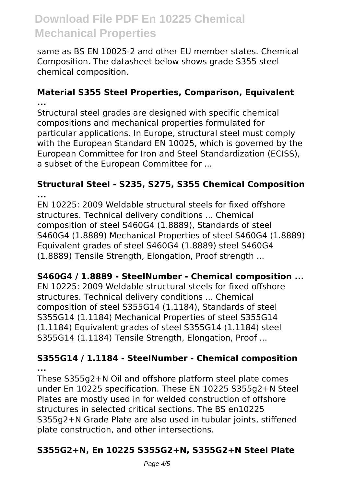same as BS EN 10025-2 and other EU member states. Chemical Composition. The datasheet below shows grade S355 steel chemical composition.

#### **Material S355 Steel Properties, Comparison, Equivalent ...**

Structural steel grades are designed with specific chemical compositions and mechanical properties formulated for particular applications. In Europe, structural steel must comply with the European Standard EN 10025, which is governed by the European Committee for Iron and Steel Standardization (ECISS), a subset of the European Committee for ...

#### **Structural Steel - S235, S275, S355 Chemical Composition ...**

EN 10225: 2009 Weldable structural steels for fixed offshore structures. Technical delivery conditions ... Chemical composition of steel S460G4 (1.8889), Standards of steel S460G4 (1.8889) Mechanical Properties of steel S460G4 (1.8889) Equivalent grades of steel S460G4 (1.8889) steel S460G4 (1.8889) Tensile Strength, Elongation, Proof strength ...

### **S460G4 / 1.8889 - SteelNumber - Chemical composition ...**

EN 10225: 2009 Weldable structural steels for fixed offshore structures. Technical delivery conditions ... Chemical composition of steel S355G14 (1.1184), Standards of steel S355G14 (1.1184) Mechanical Properties of steel S355G14 (1.1184) Equivalent grades of steel S355G14 (1.1184) steel S355G14 (1.1184) Tensile Strength, Elongation, Proof ...

#### **S355G14 / 1.1184 - SteelNumber - Chemical composition ...**

These S355g2+N Oil and offshore platform steel plate comes under En 10225 specification. These EN 10225 S355g2+N Steel Plates are mostly used in for welded construction of offshore structures in selected critical sections. The BS en10225 S355g2+N Grade Plate are also used in tubular joints, stiffened plate construction, and other intersections.

# **S355G2+N, En 10225 S355G2+N, S355G2+N Steel Plate**